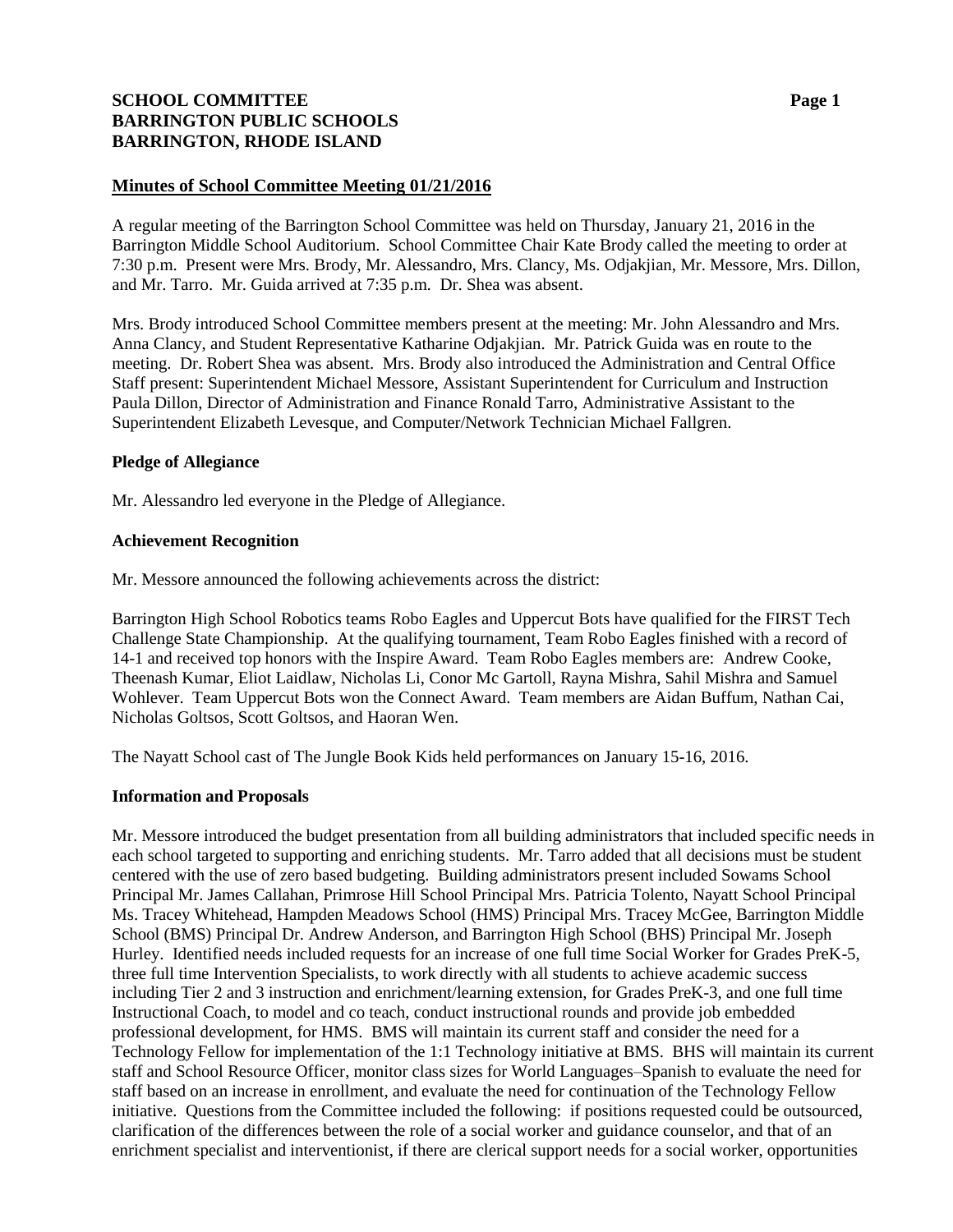# **SCHOOL COMMITTEE Page 1 BARRINGTON PUBLIC SCHOOLS BARRINGTON, RHODE ISLAND**

### **Minutes of School Committee Meeting 01/21/2016**

A regular meeting of the Barrington School Committee was held on Thursday, January 21, 2016 in the Barrington Middle School Auditorium. School Committee Chair Kate Brody called the meeting to order at 7:30 p.m. Present were Mrs. Brody, Mr. Alessandro, Mrs. Clancy, Ms. Odjakjian, Mr. Messore, Mrs. Dillon, and Mr. Tarro. Mr. Guida arrived at 7:35 p.m. Dr. Shea was absent.

Mrs. Brody introduced School Committee members present at the meeting: Mr. John Alessandro and Mrs. Anna Clancy, and Student Representative Katharine Odjakjian. Mr. Patrick Guida was en route to the meeting. Dr. Robert Shea was absent. Mrs. Brody also introduced the Administration and Central Office Staff present: Superintendent Michael Messore, Assistant Superintendent for Curriculum and Instruction Paula Dillon, Director of Administration and Finance Ronald Tarro, Administrative Assistant to the Superintendent Elizabeth Levesque, and Computer/Network Technician Michael Fallgren.

### **Pledge of Allegiance**

Mr. Alessandro led everyone in the Pledge of Allegiance.

### **Achievement Recognition**

Mr. Messore announced the following achievements across the district:

Barrington High School Robotics teams Robo Eagles and Uppercut Bots have qualified for the FIRST Tech Challenge State Championship. At the qualifying tournament, Team Robo Eagles finished with a record of 14-1 and received top honors with the Inspire Award. Team Robo Eagles members are: Andrew Cooke, Theenash Kumar, Eliot Laidlaw, Nicholas Li, Conor Mc Gartoll, Rayna Mishra, Sahil Mishra and Samuel Wohlever. Team Uppercut Bots won the Connect Award. Team members are Aidan Buffum, Nathan Cai, Nicholas Goltsos, Scott Goltsos, and Haoran Wen.

The Nayatt School cast of The Jungle Book Kids held performances on January 15-16, 2016.

### **Information and Proposals**

Mr. Messore introduced the budget presentation from all building administrators that included specific needs in each school targeted to supporting and enriching students. Mr. Tarro added that all decisions must be student centered with the use of zero based budgeting. Building administrators present included Sowams School Principal Mr. James Callahan, Primrose Hill School Principal Mrs. Patricia Tolento, Nayatt School Principal Ms. Tracey Whitehead, Hampden Meadows School (HMS) Principal Mrs. Tracey McGee, Barrington Middle School (BMS) Principal Dr. Andrew Anderson, and Barrington High School (BHS) Principal Mr. Joseph Hurley. Identified needs included requests for an increase of one full time Social Worker for Grades PreK-5, three full time Intervention Specialists, to work directly with all students to achieve academic success including Tier 2 and 3 instruction and enrichment/learning extension, for Grades PreK-3, and one full time Instructional Coach, to model and co teach, conduct instructional rounds and provide job embedded professional development, for HMS. BMS will maintain its current staff and consider the need for a Technology Fellow for implementation of the 1:1 Technology initiative at BMS. BHS will maintain its current staff and School Resource Officer, monitor class sizes for World Languages–Spanish to evaluate the need for staff based on an increase in enrollment, and evaluate the need for continuation of the Technology Fellow initiative. Questions from the Committee included the following: if positions requested could be outsourced, clarification of the differences between the role of a social worker and guidance counselor, and that of an enrichment specialist and interventionist, if there are clerical support needs for a social worker, opportunities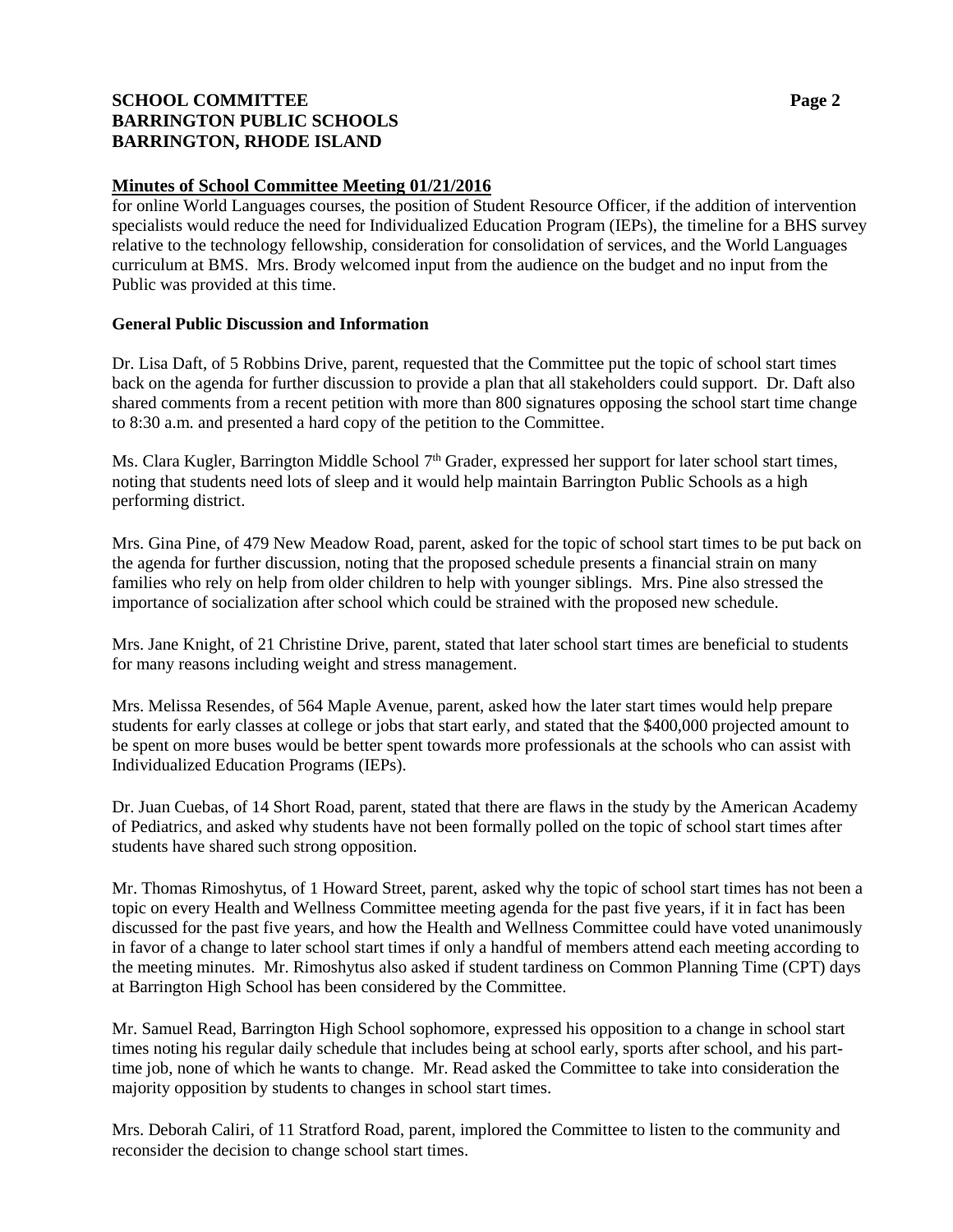# **SCHOOL COMMITTEE Page 2 BARRINGTON PUBLIC SCHOOLS BARRINGTON, RHODE ISLAND**

### **Minutes of School Committee Meeting 01/21/2016**

for online World Languages courses, the position of Student Resource Officer, if the addition of intervention specialists would reduce the need for Individualized Education Program (IEPs), the timeline for a BHS survey relative to the technology fellowship, consideration for consolidation of services, and the World Languages curriculum at BMS. Mrs. Brody welcomed input from the audience on the budget and no input from the Public was provided at this time.

## **General Public Discussion and Information**

Dr. Lisa Daft, of 5 Robbins Drive, parent, requested that the Committee put the topic of school start times back on the agenda for further discussion to provide a plan that all stakeholders could support. Dr. Daft also shared comments from a recent petition with more than 800 signatures opposing the school start time change to 8:30 a.m. and presented a hard copy of the petition to the Committee.

Ms. Clara Kugler, Barrington Middle School 7<sup>th</sup> Grader, expressed her support for later school start times, noting that students need lots of sleep and it would help maintain Barrington Public Schools as a high performing district.

Mrs. Gina Pine, of 479 New Meadow Road, parent, asked for the topic of school start times to be put back on the agenda for further discussion, noting that the proposed schedule presents a financial strain on many families who rely on help from older children to help with younger siblings. Mrs. Pine also stressed the importance of socialization after school which could be strained with the proposed new schedule.

Mrs. Jane Knight, of 21 Christine Drive, parent, stated that later school start times are beneficial to students for many reasons including weight and stress management.

Mrs. Melissa Resendes, of 564 Maple Avenue, parent, asked how the later start times would help prepare students for early classes at college or jobs that start early, and stated that the \$400,000 projected amount to be spent on more buses would be better spent towards more professionals at the schools who can assist with Individualized Education Programs (IEPs).

Dr. Juan Cuebas, of 14 Short Road, parent, stated that there are flaws in the study by the American Academy of Pediatrics, and asked why students have not been formally polled on the topic of school start times after students have shared such strong opposition.

Mr. Thomas Rimoshytus, of 1 Howard Street, parent, asked why the topic of school start times has not been a topic on every Health and Wellness Committee meeting agenda for the past five years, if it in fact has been discussed for the past five years, and how the Health and Wellness Committee could have voted unanimously in favor of a change to later school start times if only a handful of members attend each meeting according to the meeting minutes. Mr. Rimoshytus also asked if student tardiness on Common Planning Time (CPT) days at Barrington High School has been considered by the Committee.

Mr. Samuel Read, Barrington High School sophomore, expressed his opposition to a change in school start times noting his regular daily schedule that includes being at school early, sports after school, and his parttime job, none of which he wants to change. Mr. Read asked the Committee to take into consideration the majority opposition by students to changes in school start times.

Mrs. Deborah Caliri, of 11 Stratford Road, parent, implored the Committee to listen to the community and reconsider the decision to change school start times.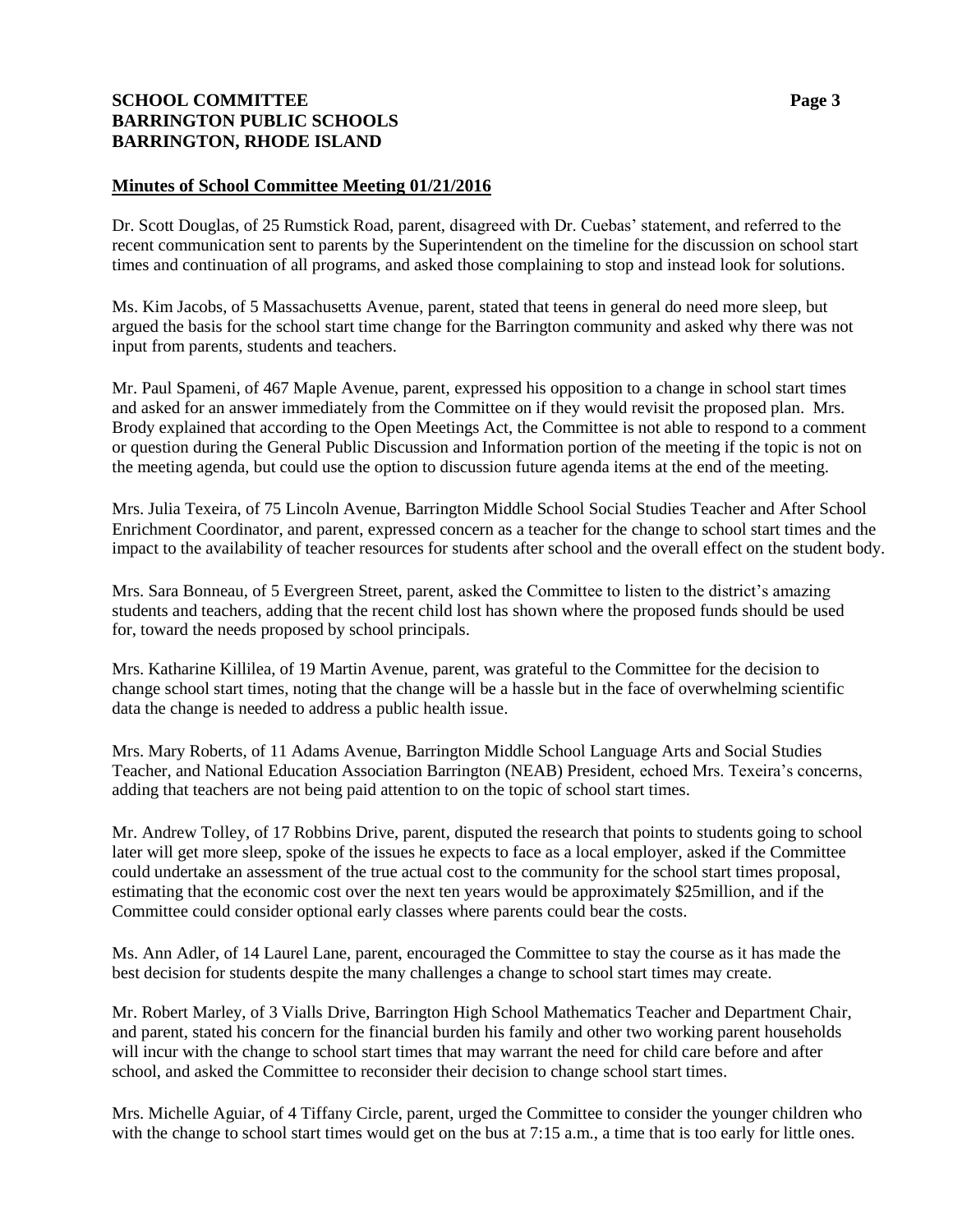## **SCHOOL COMMITTEE Page 3 BARRINGTON PUBLIC SCHOOLS BARRINGTON, RHODE ISLAND**

## **Minutes of School Committee Meeting 01/21/2016**

Dr. Scott Douglas, of 25 Rumstick Road, parent, disagreed with Dr. Cuebas' statement, and referred to the recent communication sent to parents by the Superintendent on the timeline for the discussion on school start times and continuation of all programs, and asked those complaining to stop and instead look for solutions.

Ms. Kim Jacobs, of 5 Massachusetts Avenue, parent, stated that teens in general do need more sleep, but argued the basis for the school start time change for the Barrington community and asked why there was not input from parents, students and teachers.

Mr. Paul Spameni, of 467 Maple Avenue, parent, expressed his opposition to a change in school start times and asked for an answer immediately from the Committee on if they would revisit the proposed plan. Mrs. Brody explained that according to the Open Meetings Act, the Committee is not able to respond to a comment or question during the General Public Discussion and Information portion of the meeting if the topic is not on the meeting agenda, but could use the option to discussion future agenda items at the end of the meeting.

Mrs. Julia Texeira, of 75 Lincoln Avenue, Barrington Middle School Social Studies Teacher and After School Enrichment Coordinator, and parent, expressed concern as a teacher for the change to school start times and the impact to the availability of teacher resources for students after school and the overall effect on the student body.

Mrs. Sara Bonneau, of 5 Evergreen Street, parent, asked the Committee to listen to the district's amazing students and teachers, adding that the recent child lost has shown where the proposed funds should be used for, toward the needs proposed by school principals.

Mrs. Katharine Killilea, of 19 Martin Avenue, parent, was grateful to the Committee for the decision to change school start times, noting that the change will be a hassle but in the face of overwhelming scientific data the change is needed to address a public health issue.

Mrs. Mary Roberts, of 11 Adams Avenue, Barrington Middle School Language Arts and Social Studies Teacher, and National Education Association Barrington (NEAB) President, echoed Mrs. Texeira's concerns, adding that teachers are not being paid attention to on the topic of school start times.

Mr. Andrew Tolley, of 17 Robbins Drive, parent, disputed the research that points to students going to school later will get more sleep, spoke of the issues he expects to face as a local employer, asked if the Committee could undertake an assessment of the true actual cost to the community for the school start times proposal, estimating that the economic cost over the next ten years would be approximately \$25million, and if the Committee could consider optional early classes where parents could bear the costs.

Ms. Ann Adler, of 14 Laurel Lane, parent, encouraged the Committee to stay the course as it has made the best decision for students despite the many challenges a change to school start times may create.

Mr. Robert Marley, of 3 Vialls Drive, Barrington High School Mathematics Teacher and Department Chair, and parent, stated his concern for the financial burden his family and other two working parent households will incur with the change to school start times that may warrant the need for child care before and after school, and asked the Committee to reconsider their decision to change school start times.

Mrs. Michelle Aguiar, of 4 Tiffany Circle, parent, urged the Committee to consider the younger children who with the change to school start times would get on the bus at 7:15 a.m., a time that is too early for little ones.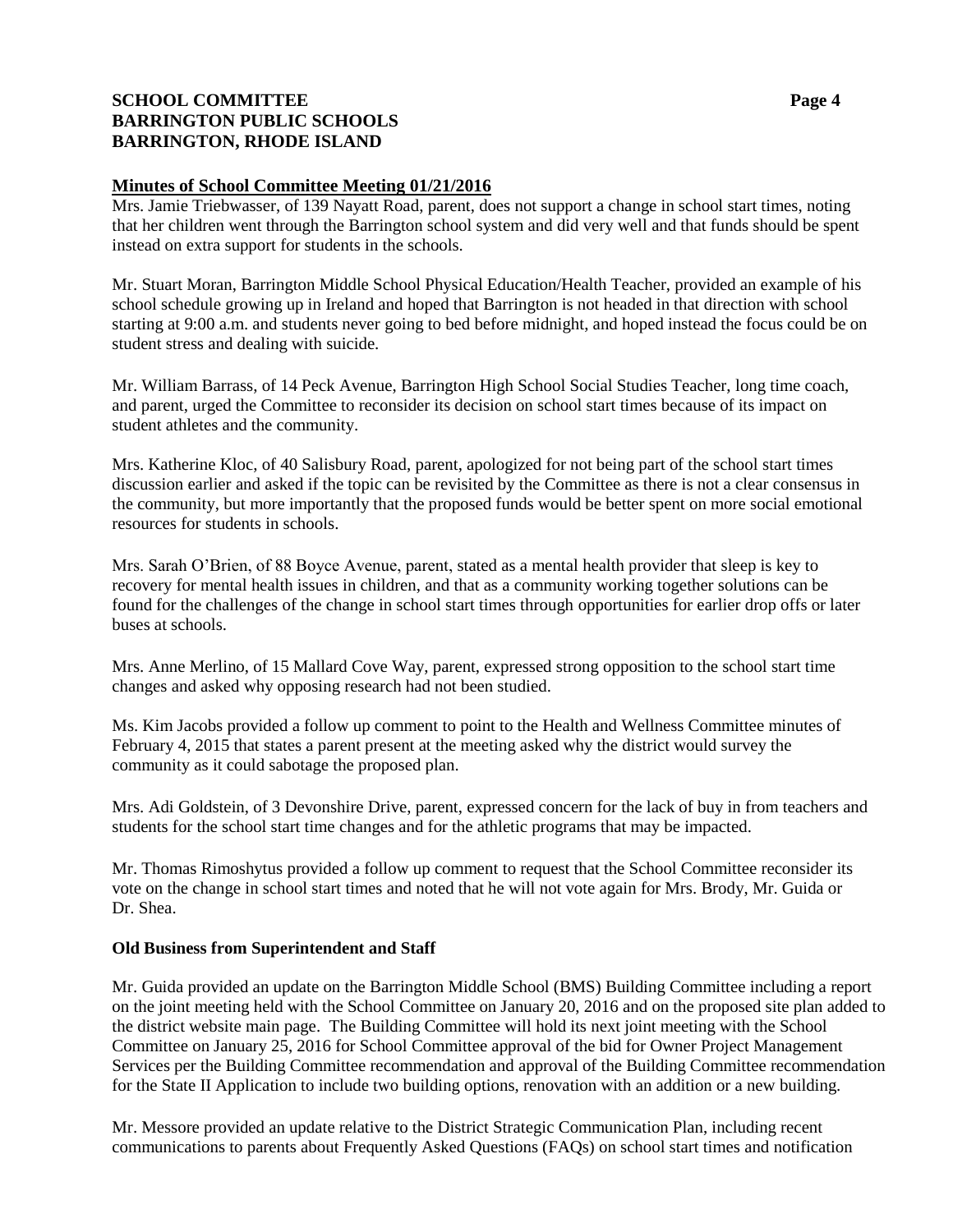# **SCHOOL COMMITTEE Page 4 BARRINGTON PUBLIC SCHOOLS BARRINGTON, RHODE ISLAND**

### **Minutes of School Committee Meeting 01/21/2016**

Mrs. Jamie Triebwasser, of 139 Nayatt Road, parent, does not support a change in school start times, noting that her children went through the Barrington school system and did very well and that funds should be spent instead on extra support for students in the schools.

Mr. Stuart Moran, Barrington Middle School Physical Education/Health Teacher, provided an example of his school schedule growing up in Ireland and hoped that Barrington is not headed in that direction with school starting at 9:00 a.m. and students never going to bed before midnight, and hoped instead the focus could be on student stress and dealing with suicide.

Mr. William Barrass, of 14 Peck Avenue, Barrington High School Social Studies Teacher, long time coach, and parent, urged the Committee to reconsider its decision on school start times because of its impact on student athletes and the community.

Mrs. Katherine Kloc, of 40 Salisbury Road, parent, apologized for not being part of the school start times discussion earlier and asked if the topic can be revisited by the Committee as there is not a clear consensus in the community, but more importantly that the proposed funds would be better spent on more social emotional resources for students in schools.

Mrs. Sarah O'Brien, of 88 Boyce Avenue, parent, stated as a mental health provider that sleep is key to recovery for mental health issues in children, and that as a community working together solutions can be found for the challenges of the change in school start times through opportunities for earlier drop offs or later buses at schools.

Mrs. Anne Merlino, of 15 Mallard Cove Way, parent, expressed strong opposition to the school start time changes and asked why opposing research had not been studied.

Ms. Kim Jacobs provided a follow up comment to point to the Health and Wellness Committee minutes of February 4, 2015 that states a parent present at the meeting asked why the district would survey the community as it could sabotage the proposed plan.

Mrs. Adi Goldstein, of 3 Devonshire Drive, parent, expressed concern for the lack of buy in from teachers and students for the school start time changes and for the athletic programs that may be impacted.

Mr. Thomas Rimoshytus provided a follow up comment to request that the School Committee reconsider its vote on the change in school start times and noted that he will not vote again for Mrs. Brody, Mr. Guida or Dr. Shea.

# **Old Business from Superintendent and Staff**

Mr. Guida provided an update on the Barrington Middle School (BMS) Building Committee including a report on the joint meeting held with the School Committee on January 20, 2016 and on the proposed site plan added to the district website main page. The Building Committee will hold its next joint meeting with the School Committee on January 25, 2016 for School Committee approval of the bid for Owner Project Management Services per the Building Committee recommendation and approval of the Building Committee recommendation for the State II Application to include two building options, renovation with an addition or a new building.

Mr. Messore provided an update relative to the District Strategic Communication Plan, including recent communications to parents about Frequently Asked Questions (FAQs) on school start times and notification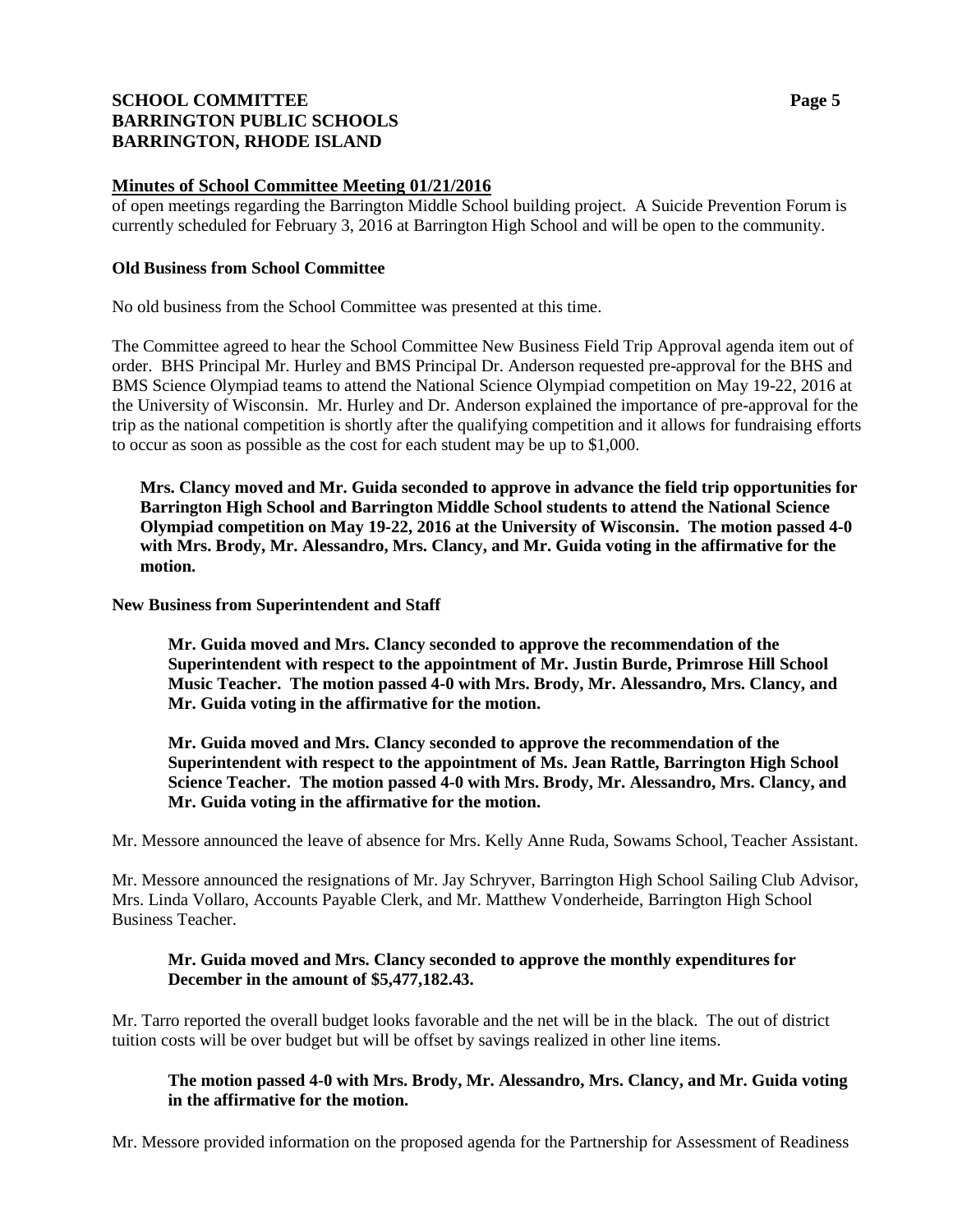## **SCHOOL COMMITTEE Page 5 BARRINGTON PUBLIC SCHOOLS BARRINGTON, RHODE ISLAND**

### **Minutes of School Committee Meeting 01/21/2016**

of open meetings regarding the Barrington Middle School building project. A Suicide Prevention Forum is currently scheduled for February 3, 2016 at Barrington High School and will be open to the community.

### **Old Business from School Committee**

No old business from the School Committee was presented at this time.

The Committee agreed to hear the School Committee New Business Field Trip Approval agenda item out of order. BHS Principal Mr. Hurley and BMS Principal Dr. Anderson requested pre-approval for the BHS and BMS Science Olympiad teams to attend the National Science Olympiad competition on May 19-22, 2016 at the University of Wisconsin. Mr. Hurley and Dr. Anderson explained the importance of pre-approval for the trip as the national competition is shortly after the qualifying competition and it allows for fundraising efforts to occur as soon as possible as the cost for each student may be up to \$1,000.

**Mrs. Clancy moved and Mr. Guida seconded to approve in advance the field trip opportunities for Barrington High School and Barrington Middle School students to attend the National Science Olympiad competition on May 19-22, 2016 at the University of Wisconsin. The motion passed 4-0 with Mrs. Brody, Mr. Alessandro, Mrs. Clancy, and Mr. Guida voting in the affirmative for the motion.**

### **New Business from Superintendent and Staff**

**Mr. Guida moved and Mrs. Clancy seconded to approve the recommendation of the Superintendent with respect to the appointment of Mr. Justin Burde, Primrose Hill School Music Teacher. The motion passed 4-0 with Mrs. Brody, Mr. Alessandro, Mrs. Clancy, and Mr. Guida voting in the affirmative for the motion.**

**Mr. Guida moved and Mrs. Clancy seconded to approve the recommendation of the Superintendent with respect to the appointment of Ms. Jean Rattle, Barrington High School Science Teacher. The motion passed 4-0 with Mrs. Brody, Mr. Alessandro, Mrs. Clancy, and Mr. Guida voting in the affirmative for the motion.**

Mr. Messore announced the leave of absence for Mrs. Kelly Anne Ruda, Sowams School, Teacher Assistant.

Mr. Messore announced the resignations of Mr. Jay Schryver, Barrington High School Sailing Club Advisor, Mrs. Linda Vollaro, Accounts Payable Clerk, and Mr. Matthew Vonderheide, Barrington High School Business Teacher.

## **Mr. Guida moved and Mrs. Clancy seconded to approve the monthly expenditures for December in the amount of \$5,477,182.43.**

Mr. Tarro reported the overall budget looks favorable and the net will be in the black. The out of district tuition costs will be over budget but will be offset by savings realized in other line items.

## **The motion passed 4-0 with Mrs. Brody, Mr. Alessandro, Mrs. Clancy, and Mr. Guida voting in the affirmative for the motion.**

Mr. Messore provided information on the proposed agenda for the Partnership for Assessment of Readiness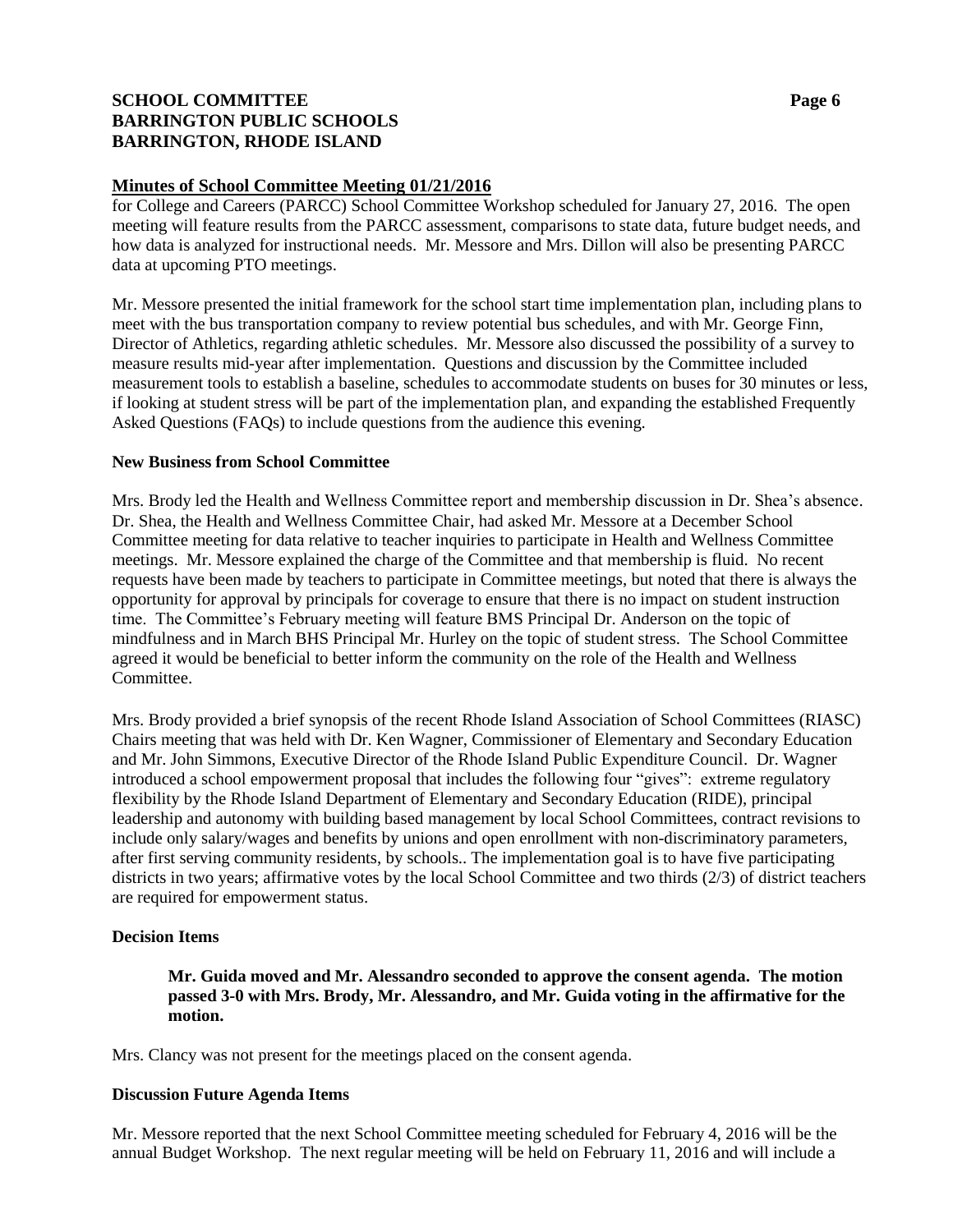# **SCHOOL COMMITTEE Page 6 BARRINGTON PUBLIC SCHOOLS BARRINGTON, RHODE ISLAND**

### **Minutes of School Committee Meeting 01/21/2016**

for College and Careers (PARCC) School Committee Workshop scheduled for January 27, 2016. The open meeting will feature results from the PARCC assessment, comparisons to state data, future budget needs, and how data is analyzed for instructional needs. Mr. Messore and Mrs. Dillon will also be presenting PARCC data at upcoming PTO meetings.

Mr. Messore presented the initial framework for the school start time implementation plan, including plans to meet with the bus transportation company to review potential bus schedules, and with Mr. George Finn, Director of Athletics, regarding athletic schedules. Mr. Messore also discussed the possibility of a survey to measure results mid-year after implementation. Questions and discussion by the Committee included measurement tools to establish a baseline, schedules to accommodate students on buses for 30 minutes or less, if looking at student stress will be part of the implementation plan, and expanding the established Frequently Asked Questions (FAQs) to include questions from the audience this evening.

### **New Business from School Committee**

Mrs. Brody led the Health and Wellness Committee report and membership discussion in Dr. Shea's absence. Dr. Shea, the Health and Wellness Committee Chair, had asked Mr. Messore at a December School Committee meeting for data relative to teacher inquiries to participate in Health and Wellness Committee meetings. Mr. Messore explained the charge of the Committee and that membership is fluid. No recent requests have been made by teachers to participate in Committee meetings, but noted that there is always the opportunity for approval by principals for coverage to ensure that there is no impact on student instruction time. The Committee's February meeting will feature BMS Principal Dr. Anderson on the topic of mindfulness and in March BHS Principal Mr. Hurley on the topic of student stress. The School Committee agreed it would be beneficial to better inform the community on the role of the Health and Wellness Committee.

Mrs. Brody provided a brief synopsis of the recent Rhode Island Association of School Committees (RIASC) Chairs meeting that was held with Dr. Ken Wagner, Commissioner of Elementary and Secondary Education and Mr. John Simmons, Executive Director of the Rhode Island Public Expenditure Council. Dr. Wagner introduced a school empowerment proposal that includes the following four "gives": extreme regulatory flexibility by the Rhode Island Department of Elementary and Secondary Education (RIDE), principal leadership and autonomy with building based management by local School Committees, contract revisions to include only salary/wages and benefits by unions and open enrollment with non-discriminatory parameters, after first serving community residents, by schools.. The implementation goal is to have five participating districts in two years; affirmative votes by the local School Committee and two thirds (2/3) of district teachers are required for empowerment status.

# **Decision Items**

### **Mr. Guida moved and Mr. Alessandro seconded to approve the consent agenda. The motion passed 3-0 with Mrs. Brody, Mr. Alessandro, and Mr. Guida voting in the affirmative for the motion.**

Mrs. Clancy was not present for the meetings placed on the consent agenda.

### **Discussion Future Agenda Items**

Mr. Messore reported that the next School Committee meeting scheduled for February 4, 2016 will be the annual Budget Workshop. The next regular meeting will be held on February 11, 2016 and will include a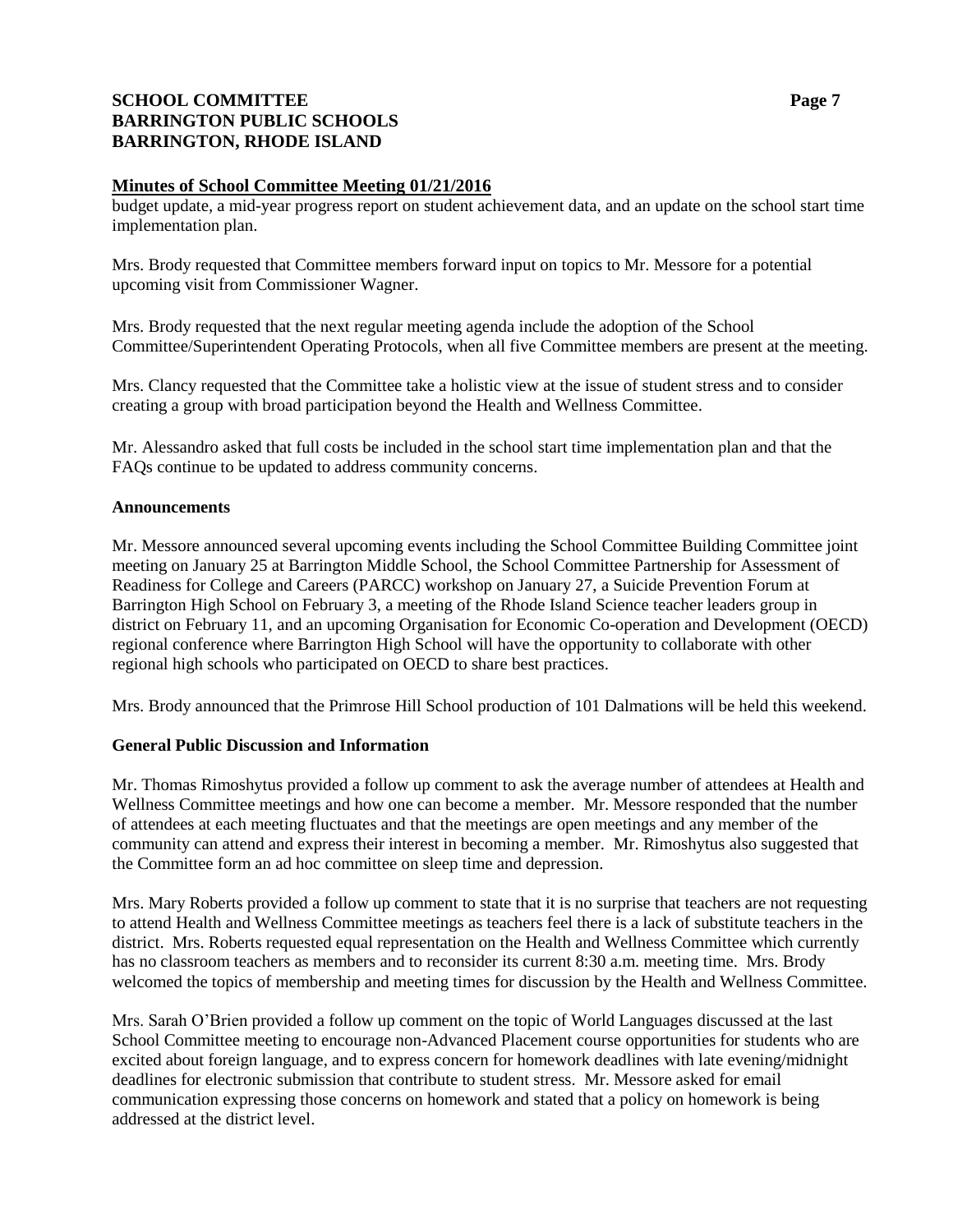## **SCHOOL COMMITTEE Page 7 BARRINGTON PUBLIC SCHOOLS BARRINGTON, RHODE ISLAND**

### **Minutes of School Committee Meeting 01/21/2016**

budget update, a mid-year progress report on student achievement data, and an update on the school start time implementation plan.

Mrs. Brody requested that Committee members forward input on topics to Mr. Messore for a potential upcoming visit from Commissioner Wagner.

Mrs. Brody requested that the next regular meeting agenda include the adoption of the School Committee/Superintendent Operating Protocols, when all five Committee members are present at the meeting.

Mrs. Clancy requested that the Committee take a holistic view at the issue of student stress and to consider creating a group with broad participation beyond the Health and Wellness Committee.

Mr. Alessandro asked that full costs be included in the school start time implementation plan and that the FAQs continue to be updated to address community concerns.

#### **Announcements**

Mr. Messore announced several upcoming events including the School Committee Building Committee joint meeting on January 25 at Barrington Middle School, the School Committee Partnership for Assessment of Readiness for College and Careers (PARCC) workshop on January 27, a Suicide Prevention Forum at Barrington High School on February 3, a meeting of the Rhode Island Science teacher leaders group in district on February 11, and an upcoming Organisation for Economic Co-operation and Development (OECD) regional conference where Barrington High School will have the opportunity to collaborate with other regional high schools who participated on OECD to share best practices.

Mrs. Brody announced that the Primrose Hill School production of 101 Dalmations will be held this weekend.

### **General Public Discussion and Information**

Mr. Thomas Rimoshytus provided a follow up comment to ask the average number of attendees at Health and Wellness Committee meetings and how one can become a member. Mr. Messore responded that the number of attendees at each meeting fluctuates and that the meetings are open meetings and any member of the community can attend and express their interest in becoming a member. Mr. Rimoshytus also suggested that the Committee form an ad hoc committee on sleep time and depression.

Mrs. Mary Roberts provided a follow up comment to state that it is no surprise that teachers are not requesting to attend Health and Wellness Committee meetings as teachers feel there is a lack of substitute teachers in the district. Mrs. Roberts requested equal representation on the Health and Wellness Committee which currently has no classroom teachers as members and to reconsider its current 8:30 a.m. meeting time. Mrs. Brody welcomed the topics of membership and meeting times for discussion by the Health and Wellness Committee.

Mrs. Sarah O'Brien provided a follow up comment on the topic of World Languages discussed at the last School Committee meeting to encourage non-Advanced Placement course opportunities for students who are excited about foreign language, and to express concern for homework deadlines with late evening/midnight deadlines for electronic submission that contribute to student stress. Mr. Messore asked for email communication expressing those concerns on homework and stated that a policy on homework is being addressed at the district level.